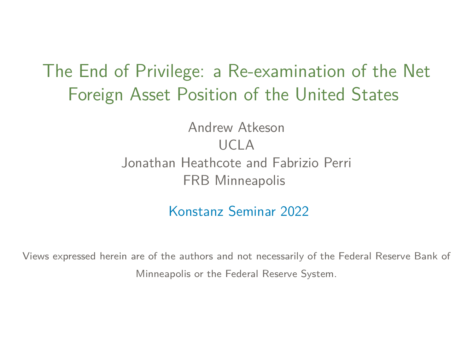## <span id="page-0-0"></span>The End of Privilege: a Re-examination of the Net Foreign Asset Position of the United States

Andrew Atkeson UCLA Jonathan Heathcote and Fabrizio Perri FRB Minneapolis

Konstanz Seminar 2022

Views expressed herein are of the authors and not necessarily of the Federal Reserve Bank of Minneapolis or the Federal Reserve System.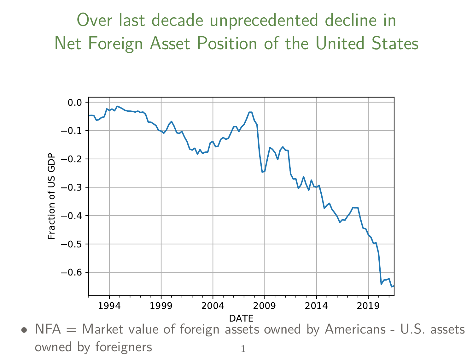Over last decade unprecedented decline in Net Foreign Asset Position of the United States



• NFA = Market value of foreign assets owned by Americans - U.S. assets owned by foreigners and 1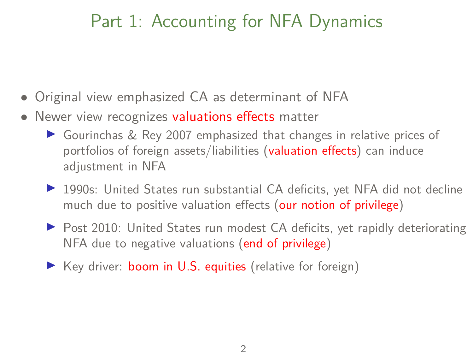# Part 1: Accounting for NFA Dynamics

- Original view emphasized CA as determinant of NFA
- Newer view recognizes valuations effects matter
	- $\triangleright$  Gourinchas & Rey 2007 emphasized that changes in relative prices of portfolios of foreign assets/liabilities (valuation effects) can induce adjustment in NFA
	- ▶ 1990s: United States run substantial CA deficits, yet NFA did not decline much due to positive valuation effects (our notion of privilege)
	- ▶ Post 2010: United States run modest CA deficits, yet rapidly deteriorating NFA due to negative valuations (end of privilege)
	- $\triangleright$  Key driver: **boom in U.S. equities** (relative for foreign)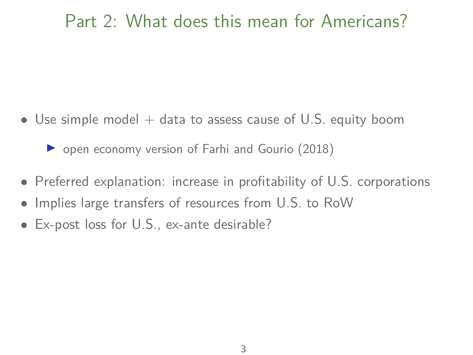## Part 2: What does this mean for Americans?

• Use simple model  $+$  data to assess cause of U.S. equity boom

 $\triangleright$  open economy version of Farhi and Gourio (2018)

- Preferred explanation: increase in profitability of U.S. corporations
- Implies large transfers of resources from U.S. to RoW
- Ex-post loss for U.S., ex-ante desirable?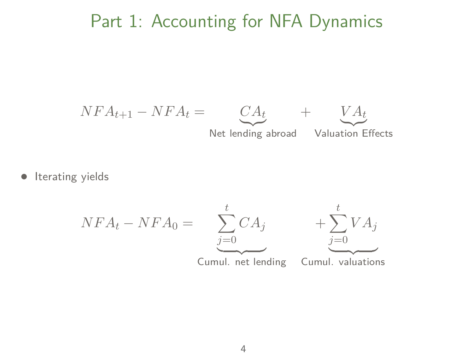#### Part 1: Accounting for NFA Dynamics



• Iterating yields

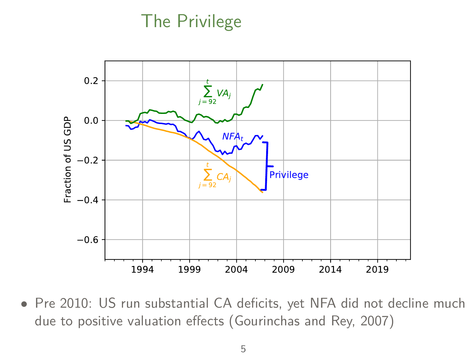## The Privilege



• Pre 2010: US run substantial CA deficits, yet NFA did not decline much due to positive valuation effects (Gourinchas and Rey, 2007)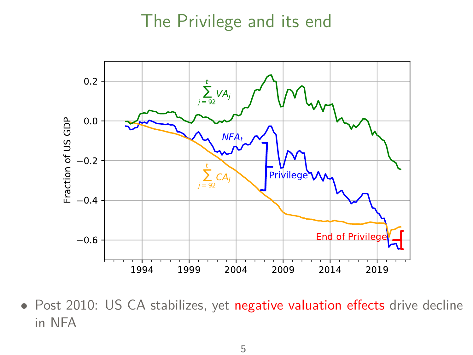#### The Privilege and its end



• Post 2010: US CA stabilizes, yet negative valuation effects drive decline in NFA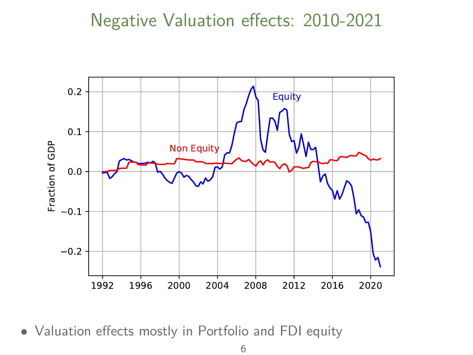#### Negative Valuation effects: 2010-2021



• Valuation effects mostly in Portfolio and FDI equity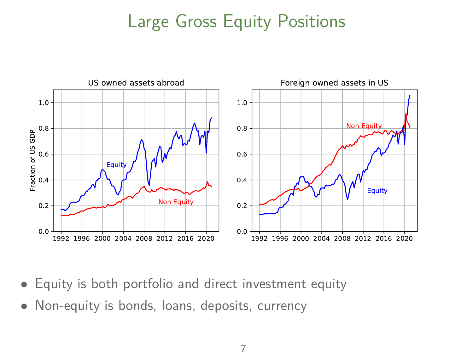## Large Gross Equity Positions



- Equity is both portfolio and direct investment equity
- Non-equity is bonds, loans, deposits, currency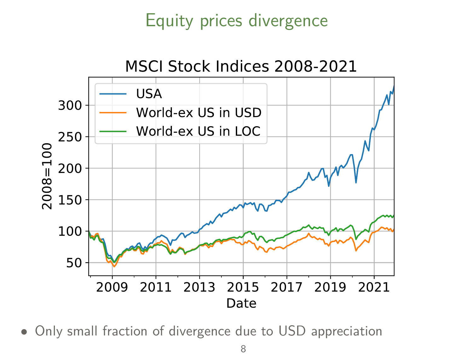## Equity prices divergence



• Only small fraction of divergence due to USD appreciation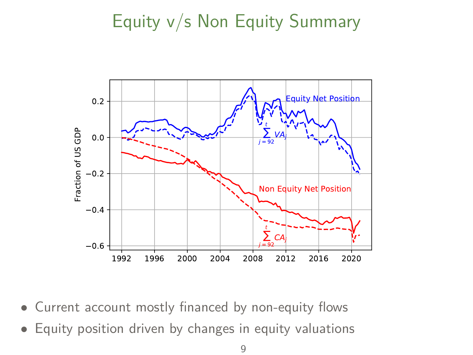# Equity v/s Non Equity Summary



- Current account mostly financed by non-equity flows
- Equity position driven by changes in equity valuations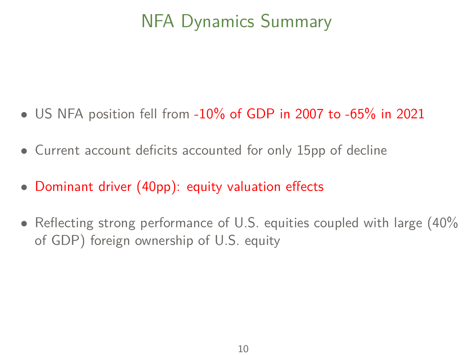# NFA Dynamics Summary

- <span id="page-11-0"></span>• US NFA position fell from  $-10\%$  of GDP in 2007 to  $-65\%$  in 2021
- Current account deficits accounted for only 15pp of decline
- Dominant driver (40pp): equity valuation effects
- Reflecting strong performance of U.S. equities coupled with large (40%) of GDP) foreign ownership of U.S. equity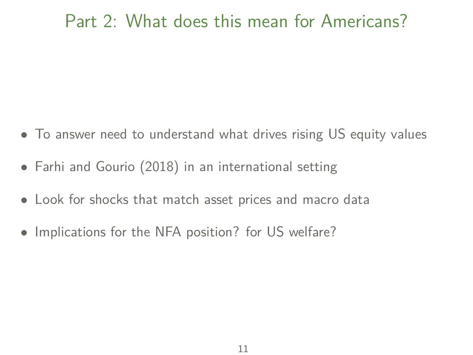## Part 2: What does this mean for Americans?

- To answer need to understand what drives rising US equity values
- Farhi and Gourio (2018) in an international setting
- Look for shocks that match asset prices and macro data
- Implications for the NFA position? for US welfare?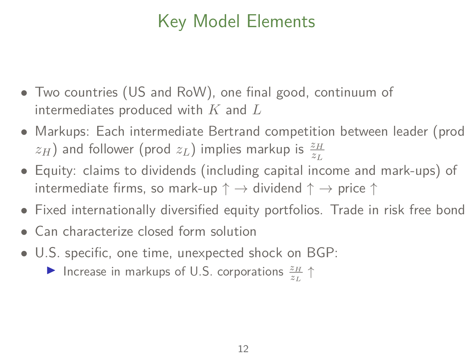# Key Model Elements

- Two countries (US and RoW), one final good, continuum of intermediates produced with *K* and *L*
- Markups: Each intermediate Bertrand competition between leader (prod  $z$ *H*) and follower (prod  $z$ <sup>L</sup>) implies markup is  $\frac{z_H}{z_L}$
- Equity: claims to dividends (including capital income and mark-ups) of intermediate firms, so mark-up  $\uparrow \rightarrow$  dividend  $\uparrow \rightarrow$  price  $\uparrow$
- Fixed internationally diversified equity portfolios. Trade in risk free bond
- Can characterize closed form solution
- U.S. specific, one time, unexpected shock on BGP:
	- ▶ Increase in markups of U.S. corporations  $\frac{z_H}{z_L}$  ↑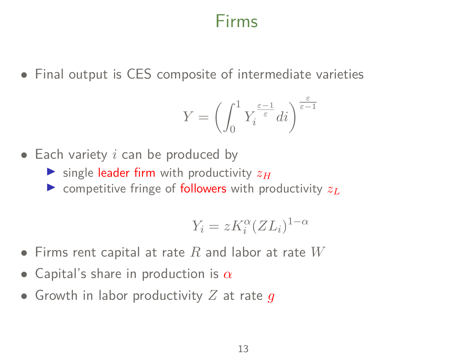#### Firms

• Final output is CES composite of intermediate varieties

$$
Y=\left(\int_0^1 Y_i^{\frac{\varepsilon-1}{\varepsilon}}di\right)^{\frac{\varepsilon}{\varepsilon-1}}
$$

- Each variety *i* can be produced by
	- $\triangleright$  single leader firm with productivity  $z_H$
	- $\triangleright$  competitive fringe of **followers** with productivity  $z_L$

$$
Y_i = zK_i^{\alpha}(ZL_i)^{1-\alpha}
$$

- Firms rent capital at rate *R* and labor at rate *W*
- Capital's share in production is *α*
- Growth in labor productivity *Z* at rate *g*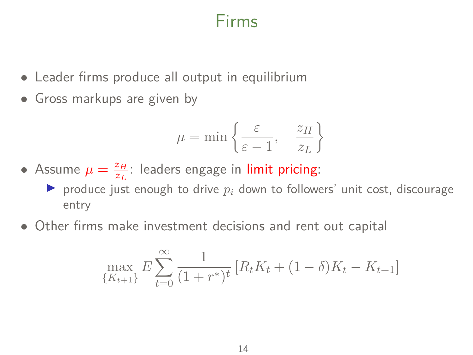## Firms

- Leader firms produce all output in equilibrium
- Gross markups are given by

$$
\mu = \min \left\{ \frac{\varepsilon}{\varepsilon - 1}, \quad \frac{z_H}{z_L} \right\}
$$

- Assume  $\mu = \frac{z_H}{z_H}$  $\frac{z_H}{z_L}$ : leaders engage in li<mark>mit pricing</mark>:
	- $\blacktriangleright$  produce just enough to drive  $p_i$  down to followers' unit cost, discourage entry
- Other firms make investment decisions and rent out capital

$$
\max_{\{K_{t+1}\}} E \sum_{t=0}^{\infty} \frac{1}{(1+r^*)^t} \left[ R_t K_t + (1-\delta) K_t - K_{t+1} \right]
$$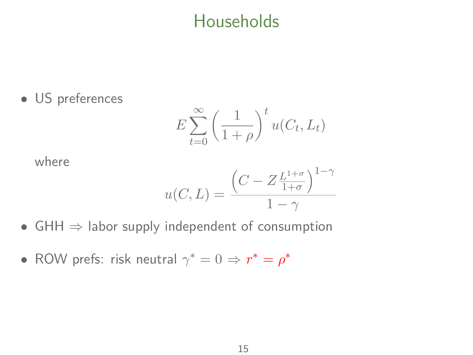## **Households**

• US preferences

$$
E\sum_{t=0}^{\infty} \left(\frac{1}{1+\rho}\right)^t u(C_t, L_t)
$$

where

$$
u(C, L) = \frac{\left(C - Z \frac{L^{1+\sigma}}{1+\sigma}\right)^{1-\gamma}}{1-\gamma}
$$

- $GHH \Rightarrow$  labor supply independent of consumption
- ROW prefs: risk neutral  $\gamma^* = 0 \Rightarrow r^* = \rho^*$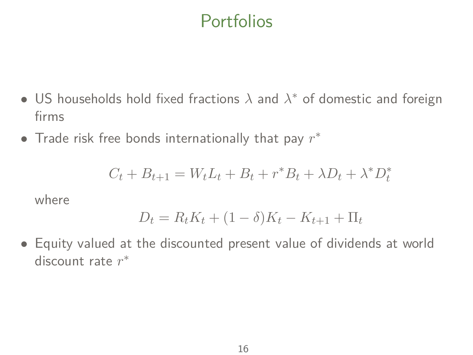## Portfolios

- US households hold fixed fractions *λ* and *λ* <sup>∗</sup> of domestic and foreign firms
- Trade risk free bonds internationally that pay *r* ∗

$$
C_t + B_{t+1} = W_t L_t + B_t + r^* B_t + \lambda D_t + \lambda^* D_t^*
$$

where

$$
D_t = R_t K_t + (1 - \delta) K_t - K_{t+1} + \Pi_t
$$

• Equity valued at the discounted present value of dividends at world discount rate *r* ∗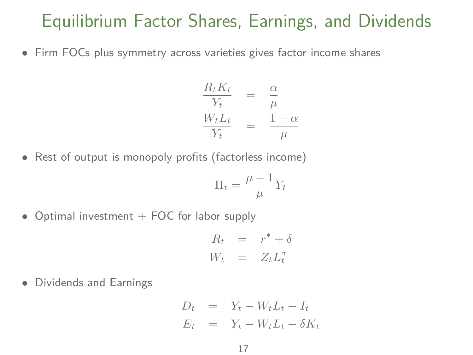#### Equilibrium Factor Shares, Earnings, and Dividends

• Firm FOCs plus symmetry across varieties gives factor income shares

$$
\frac{R_t K_t}{Y_t} = \frac{\alpha}{\mu}
$$
  

$$
\frac{W_t L_t}{Y_t} = \frac{1-\alpha}{\mu}
$$

• Rest of output is monopoly profits (factorless income)

$$
\Pi_t = \frac{\mu - 1}{\mu} Y_t
$$

• Optimal investment  $+$  FOC for labor supply

$$
R_t = r^* + \delta
$$
  

$$
W_t = Z_t L_t^{\sigma}
$$

• Dividends and Earnings

$$
D_t = Y_t - W_t L_t - I_t
$$
  

$$
E_t = Y_t - W_t L_t - \delta K_t
$$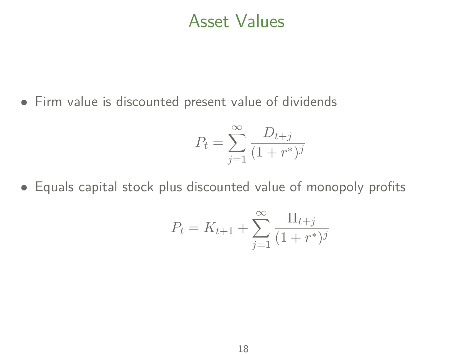#### Asset Values

• Firm value is discounted present value of dividends

$$
P_t = \sum_{j=1}^{\infty} \frac{D_{t+j}}{(1+r^*)^j}
$$

• Equals capital stock plus discounted value of monopoly profits

$$
P_t = K_{t+1} + \sum_{j=1}^{\infty} \frac{\Pi_{t+j}}{(1+r^*)^j}
$$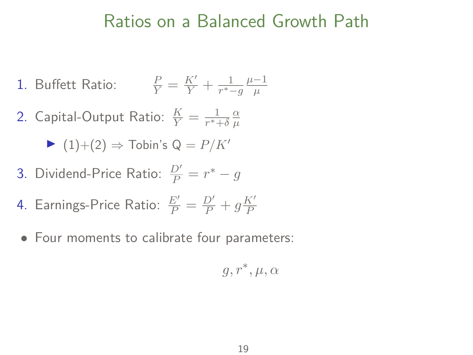#### Ratios on a Balanced Growth Path

- 1. Buffett Ratio:  $\frac{P}{Y} = \frac{K'}{Y} + \frac{1}{r^{*}}$  $\frac{1}{r^*-g}\frac{\mu-1}{\mu}$ *µ*
- 2. Capital-Output Ratio:  $\frac{K}{Y} = \frac{1}{r^*+1}$  $rac{1}{r^*+δ}$ <sup>α</sup>μ *µ*

$$
(1)+(2) \Rightarrow \text{Tobin's } Q = P/K'
$$

3. Dividend-Price Ratio:  $\frac{D'}{P} = r^* - g$ 

4. Earning's-Price Ratio: 
$$
\frac{E'}{P} = \frac{D'}{P} + g\frac{K'}{P}
$$

• Four moments to calibrate four parameters:

$$
g,r^*,\mu,\alpha
$$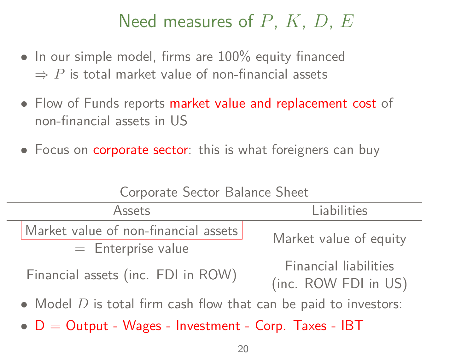# Need measures of *P*, *K*, *D*, *E*

- In our simple model, firms are 100% equity financed  $\Rightarrow$  *P* is total market value of non-financial assets
- Flow of Funds reports market value and replacement cost of non-financial assets in US
- Focus on corporate sector: this is what foreigners can buy

| Assets                                                             |                                                         | Liabilities                                   |  |  |  |
|--------------------------------------------------------------------|---------------------------------------------------------|-----------------------------------------------|--|--|--|
|                                                                    | Market value of non-financial assets                    | Market value of equity                        |  |  |  |
|                                                                    | $=$ Enterprise value                                    |                                               |  |  |  |
|                                                                    | Financial assets (inc. FDI in ROW)                      | Financial liabilities<br>(inc. ROW FDI in US) |  |  |  |
| • Model $D$ is total firm cash flow that can be paid to investors: |                                                         |                                               |  |  |  |
|                                                                    | • $D =$ Output - Wages - Investment - Corp. Taxes - IBT |                                               |  |  |  |

Corporate Sector Balance Sheet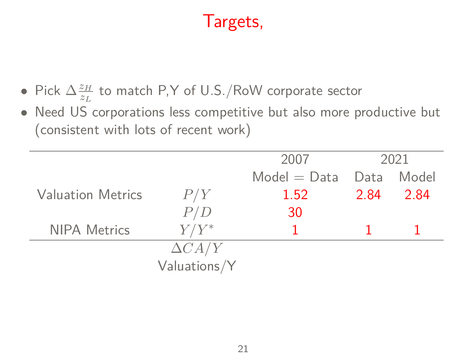# Targets,

- Pick  $\Delta \frac{z_H}{z_H}$  $\frac{z_H}{z_L}$  to match P,Y of U.S./RoW corporate sector
- Need US corporations less competitive but also more productive but (consistent with lots of recent work)

|                          |               | 2007           | 2021 |       |
|--------------------------|---------------|----------------|------|-------|
|                          |               | $Model = Data$ | Data | Model |
| <b>Valuation Metrics</b> | P/Y           | 1.52           | 2.84 | 2.84  |
|                          | P/D           | 30             |      |       |
| <b>NIPA Metrics</b>      | $Y/Y^*$       |                |      |       |
|                          | $\Delta CA/Y$ |                |      |       |
|                          | Valuations/Y  |                |      |       |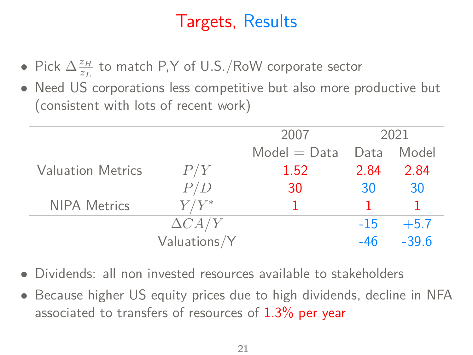## Targets, Results

- Pick  $\Delta \frac{z_H}{z_H}$  $\frac{z_H}{z_L}$  to match P,Y of U.S./RoW corporate sector
- Need US corporations less competitive but also more productive but (consistent with lots of recent work)

|                          |               | 2007           | 2021  |         |
|--------------------------|---------------|----------------|-------|---------|
|                          |               | $Model = Data$ | Data  | Model   |
| <b>Valuation Metrics</b> | P/Y           | 1.52           | 2.84  | 2.84    |
|                          | P/D           | 30             | 30    | 30      |
| <b>NIPA Metrics</b>      | $Y/Y^*$       |                |       |         |
|                          | $\Delta CA/Y$ |                | $-15$ | $+5.7$  |
|                          | Valuations/Y  |                | $-46$ | $-39.6$ |
|                          |               |                |       |         |

- Dividends: all non invested resources available to stakeholders
- Because higher US equity prices due to high dividends, decline in NFA associated to transfers of resources of  $1.3\%$  per year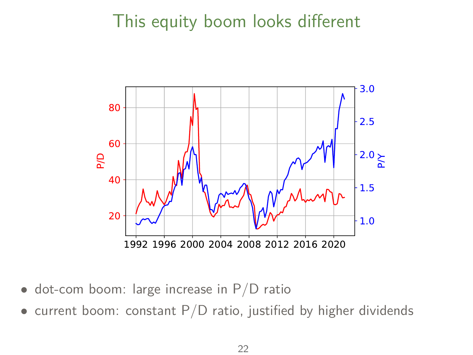## This equity boom looks different



- dot-com boom: large increase in P/D ratio
- current boom: constant  $P/D$  ratio, justified by higher dividends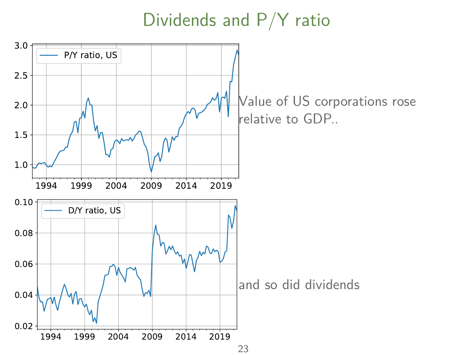Dividends and P/Y ratio

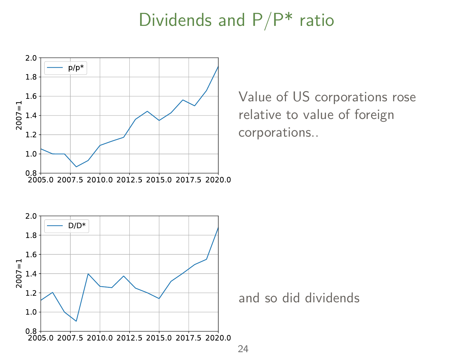#### Dividends and  $P/P^*$  ratio



Value of US corporations rose relative to value of foreign corporations..

and so did dividends

24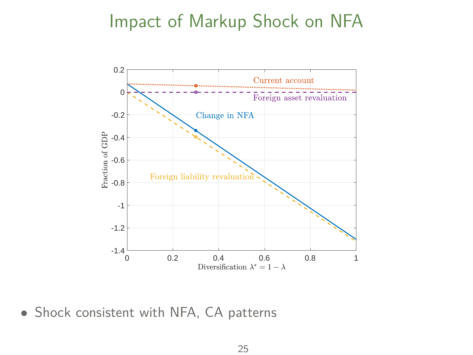#### Impact of Markup Shock on NFA



• Shock consistent with NFA, CA patterns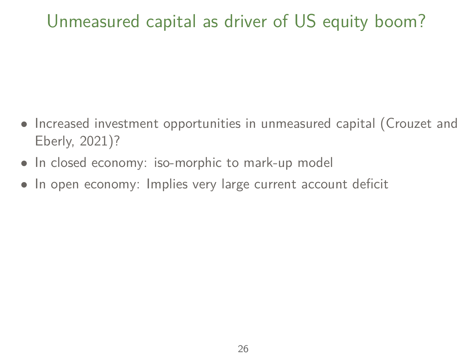## Unmeasured capital as driver of US equity boom?

- Increased investment opportunities in unmeasured capital (Crouzet and Eberly, 2021)?
- In closed economy: iso-morphic to mark-up model
- In open economy: Implies very large current account deficit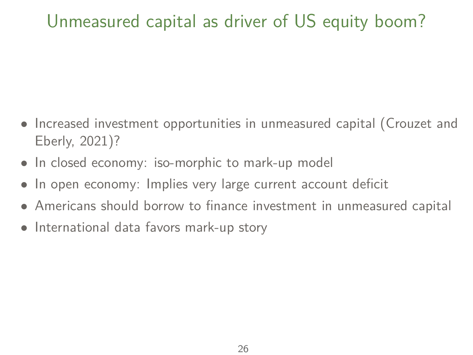# Unmeasured capital as driver of US equity boom?

- Increased investment opportunities in unmeasured capital (Crouzet and Eberly, 2021)?
- In closed economy: iso-morphic to mark-up model
- In open economy: Implies very large current account deficit
- Americans should borrow to finance investment in unmeasured capital
- International data favors mark-up story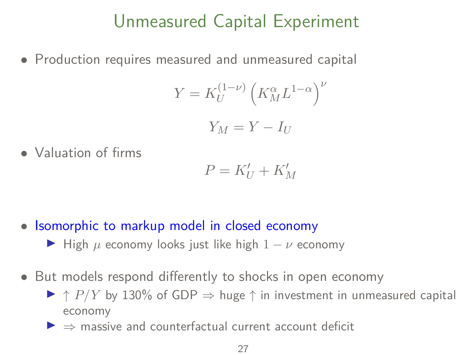## Unmeasured Capital Experiment

• Production requires measured and unmeasured capital

$$
Y = K_U^{(1-\nu)} \left( K_M^{\alpha} L^{1-\alpha} \right)^{\nu}
$$

$$
Y_M=Y-I_U
$$

• Valuation of firms

$$
P = K'_U + K'_M
$$

- Isomorphic to markup model in closed economy
	- $\blacktriangleright$  High  $\mu$  economy looks just like high  $1 \nu$  economy
- But models respond differently to shocks in open economy
	- $\triangleright$   $\uparrow$  *P*/*Y* by 130% of GDP  $\Rightarrow$  huge  $\uparrow$  in investment in unmeasured capital economy
	- $\triangleright$   $\Rightarrow$  massive and counterfactual current account deficit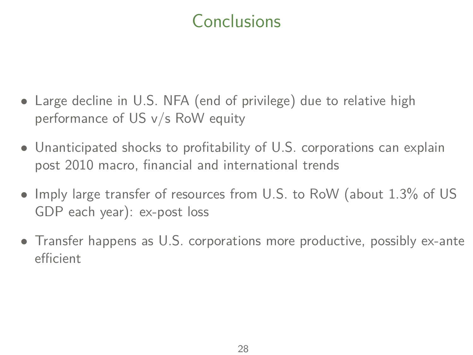# **Conclusions**

- Large decline in U.S. NFA (end of privilege) due to relative high performance of US v/s RoW equity
- Unanticipated shocks to profitability of U.S. corporations can explain post 2010 macro, financial and international trends
- Imply large transfer of resources from U.S. to RoW (about 1.3% of US GDP each year): ex-post loss
- Transfer happens as U.S. corporations more productive, possibly ex-ante efficient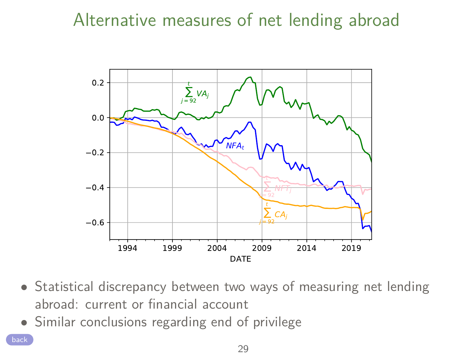## Alternative measures of net lending abroad



- Statistical discrepancy between two ways of measuring net lending abroad: current or financial account
- Similar conclusions regarding end of privilege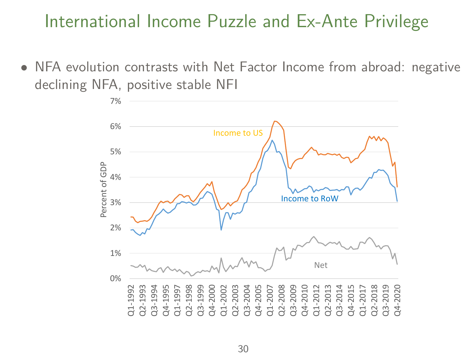#### International Income Puzzle and Ex-Ante Privilege

• NFA evolution contrasts with Net Factor Income from abroad: negative declining NFA, positive stable NFI

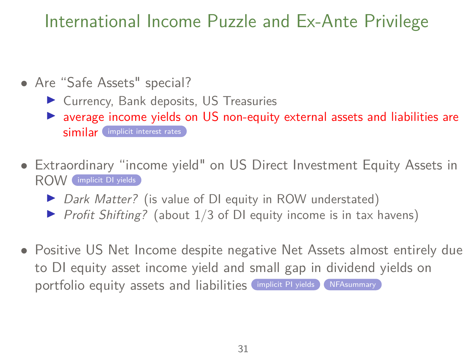## International Income Puzzle and Ex-Ante Privilege

- <span id="page-34-0"></span>• Are "Safe Assets" special?
	- $\blacktriangleright$  Currency, Bank deposits, US Treasuries
	- $\triangleright$  average income yields on US non-equity external assets and liabilities are similar [implicit interest rates](#page-35-0)
- Extraordinary "income yield" on US Direct Investment Equity Assets in ROW [implicit DI yields](#page-36-0)
	- $\triangleright$  Dark Matter? (is value of DI equity in ROW understated)
	- $\triangleright$  Profit Shifting? (about 1/3 of DI equity income is in tax havens)
- Positive US Net Income despite negative Net Assets almost entirely due to DI equity asset income yield and small gap in dividend yields on portfolio equity assets and liabilities [implicit PI yields](#page-37-0) [NFAsummary](#page-11-0)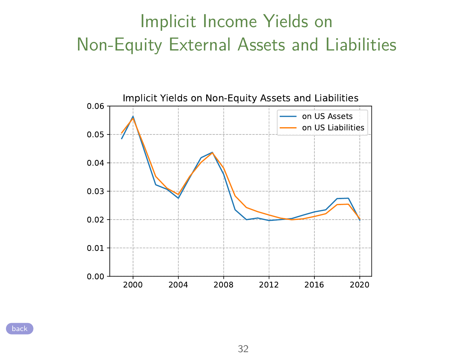# Implicit Income Yields on Non-Equity External Assets and Liabilities

<span id="page-35-0"></span>

[back](#page-34-0)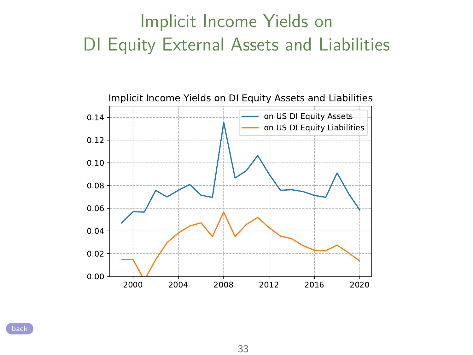# Implicit Income Yields on DI Equity External Assets and Liabilities

<span id="page-36-0"></span>

[back](#page-34-0)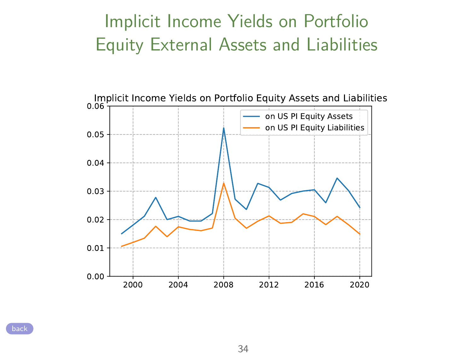# Implicit Income Yields on Portfolio Equity External Assets and Liabilities

<span id="page-37-0"></span>

[back](#page-34-0)